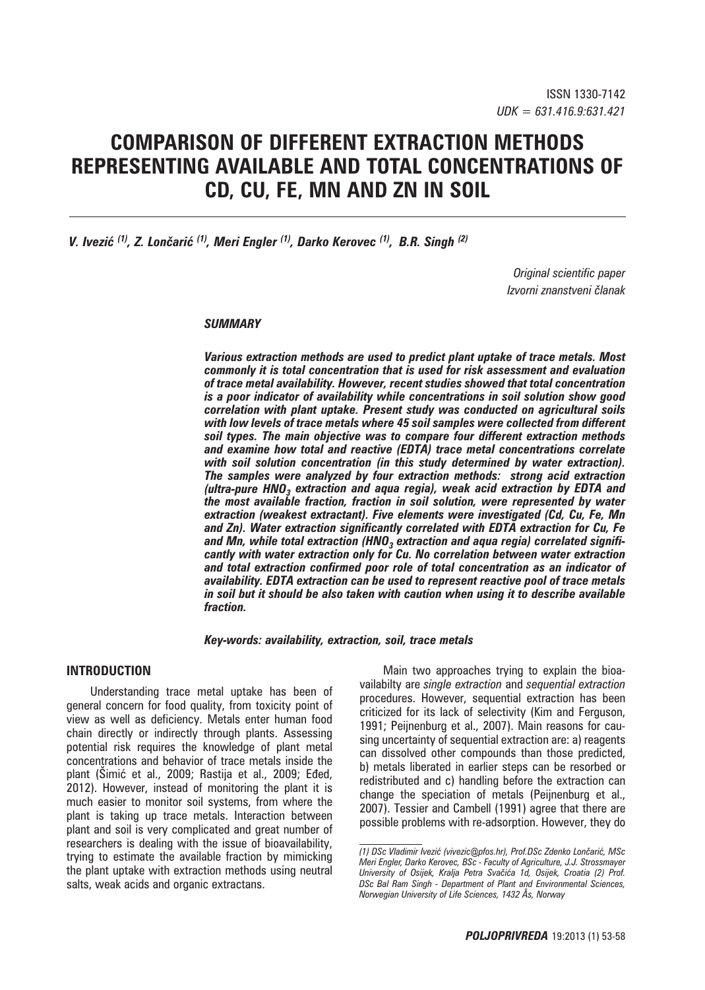# **COMPARISON OF DIFFERENT EXTRACTION METHODS REPRESENTING AVAILABLE AND TOTAL CONCENTRATIONS OF Cd, Cu, Fe, Mn and Zn IN SOIL**

*V. Ivezić (1), Z. Lončarić (1), Meri Engler (1), Darko Kerovec (1), B.R. Singh (2)*

*Original scientific paper Izvorni znanstveni članak* 

#### *SUMMARY*

*Various extraction methods are used to predict plant uptake of trace metals. Most commonly it is total concentration that is used for risk assessment and evaluation of trace metal availability. However, recent studies showed that total concentration is a poor indicator of availability while concentrations in soil solution show good correlation with plant uptake. Present study was conducted on agricultural soils with low levels of trace metals where 45 soil samples were collected from different soil types. The main objective was to compare four different extraction methods and examine how total and reactive (EDTA) trace metal concentrations correlate with soil solution concentration (in this study determined by water extraction). The samples were analyzed by four extraction methods: strong acid extraction (ultra-pure HNO3 extraction and aqua regia), weak acid extraction by EDTA and the most available fraction, fraction in soil solution, were represented by water extraction (weakest extractant). Five elements were investigated (Cd, Cu, Fe, Mn and Zn). Water extraction significantly correlated with EDTA extraction for Cu, Fe and Mn, while total extraction (HNO3 extraction and aqua regia) correlated significantly with water extraction only for Cu. No correlation between water extraction and total extraction confirmed poor role of total concentration as an indicator of availability. EDTA extraction can be used to represent reactive pool of trace metals in soil but it should be also taken with caution when using it to describe available fraction.* 

#### *Key-words: availability, extraction, soil, trace metals*

# **INTRODUCTION**

Understanding trace metal uptake has been of general concern for food quality, from toxicity point of view as well as deficiency. Metals enter human food chain directly or indirectly through plants. Assessing potential risk requires the knowledge of plant metal concentrations and behavior of trace metals inside the plant (Šimić et al., 2009; Rastija et al., 2009; Eđed, 2012). However, instead of monitoring the plant it is much easier to monitor soil systems, from where the plant is taking up trace metals. Interaction between plant and soil is very complicated and great number of researchers is dealing with the issue of bioavailability, trying to estimate the available fraction by mimicking the plant uptake with extraction methods using neutral salts, weak acids and organic extractans.

Main two approaches trying to explain the bioavailabilty are *single extraction* and *sequential extraction*  procedures. However, sequential extraction has been criticized for its lack of selectivity (Kim and Ferguson, 1991; Peijnenburg et al., 2007). Main reasons for causing uncertainty of sequential extraction are: a) reagents can dissolved other compounds than those predicted, b) metals liberated in earlier steps can be resorbed or redistributed and c) handling before the extraction can change the speciation of metals (Peijnenburg et al., 2007). Tessier and Cambell (1991) agree that there are possible problems with re-adsorption. However, they do

*<sup>(1)</sup> DSc Vladimir Ivezić (vivezic*@*pfos.hr), Prof.DSc Zdenko Lončarić, MSc Meri Engler, Darko Kerovec, BSc - Faculty of Agriculture, J.J. Strossmayer University of Osijek, Kralja Petra Svačića 1d, Osijek, Croatia (2) Prof. DSc Bal Ram Singh - Department of Plant and Environmental Sciences, Norwegian University of Life Sciences, 1432 Ås, Norway*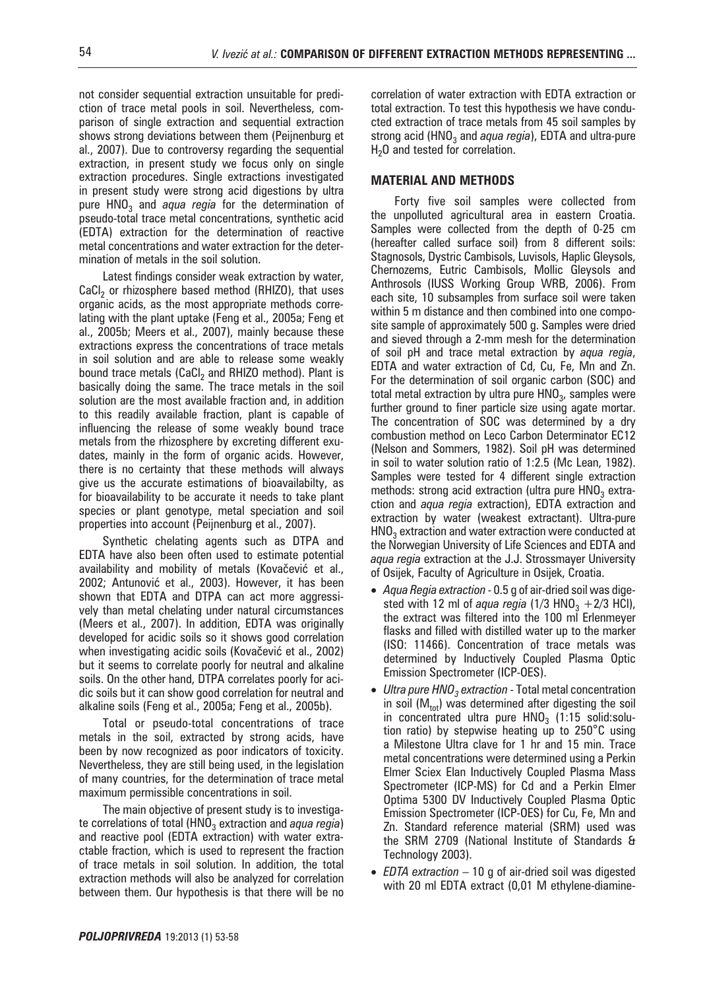not consider sequential extraction unsuitable for prediction of trace metal pools in soil. Nevertheless, comparison of single extraction and sequential extraction shows strong deviations between them (Peijnenburg et al., 2007). Due to controversy regarding the sequential extraction, in present study we focus only on single extraction procedures. Single extractions investigated in present study were strong acid digestions by ultra pure HNO<sub>3</sub> and *aqua regia* for the determination of pseudo-total trace metal concentrations, synthetic acid (EDTA) extraction for the determination of reactive metal concentrations and water extraction for the determination of metals in the soil solution.

Latest findings consider weak extraction by water, CaCl<sub>2</sub> or rhizosphere based method (RHIZO), that uses organic acids, as the most appropriate methods correlating with the plant uptake (Feng et al., 2005a; Feng et al., 2005b; Meers et al., 2007), mainly because these extractions express the concentrations of trace metals in soil solution and are able to release some weakly bound trace metals (CaCl<sub>2</sub> and RHIZO method). Plant is basically doing the same. The trace metals in the soil solution are the most available fraction and, in addition to this readily available fraction, plant is capable of influencing the release of some weakly bound trace metals from the rhizosphere by excreting different exudates, mainly in the form of organic acids. However, there is no certainty that these methods will always give us the accurate estimations of bioavailabilty, as for bioavailability to be accurate it needs to take plant species or plant genotype, metal speciation and soil properties into account (Peijnenburg et al., 2007).

Synthetic chelating agents such as DTPA and EDTA have also been often used to estimate potential availability and mobility of metals (Kovačević et al., 2002; Antunović et al., 2003). However, it has been shown that EDTA and DTPA can act more aggressively than metal chelating under natural circumstances (Meers et al., 2007). In addition, EDTA was originally developed for acidic soils so it shows good correlation when investigating acidic soils (Kovačević et al., 2002) but it seems to correlate poorly for neutral and alkaline soils. On the other hand, DTPA correlates poorly for acidic soils but it can show good correlation for neutral and alkaline soils (Feng et al., 2005a; Feng et al., 2005b).

Total or pseudo-total concentrations of trace metals in the soil, extracted by strong acids, have been by now recognized as poor indicators of toxicity. Nevertheless, they are still being used, in the legislation of many countries, for the determination of trace metal maximum permissible concentrations in soil.

The main objective of present study is to investigate correlations of total (HNO<sub>3</sub> extraction and *aqua regia*) and reactive pool (EDTA extraction) with water extractable fraction, which is used to represent the fraction of trace metals in soil solution. In addition, the total extraction methods will also be analyzed for correlation between them. Our hypothesis is that there will be no correlation of water extraction with EDTA extraction or total extraction. To test this hypothesis we have conducted extraction of trace metals from 45 soil samples by strong acid (HNO<sub>3</sub> and *aqua regia*), EDTA and ultra-pure  $H<sub>2</sub>O$  and tested for correlation.

# **MATERIAL AND METHODS**

Forty five soil samples were collected from the unpolluted agricultural area in eastern Croatia. Samples were collected from the depth of 0-25 cm (hereafter called surface soil) from 8 different soils: Stagnosols, Dystric Cambisols, Luvisols, Haplic Gleysols, Chernozems, Eutric Cambisols, Mollic Gleysols and Anthrosols (IUSS Working Group WRB, 2006). From each site, 10 subsamples from surface soil were taken within 5 m distance and then combined into one composite sample of approximately 500 g. Samples were dried and sieved through a 2-mm mesh for the determination of soil pH and trace metal extraction by *aqua regia*, EDTA and water extraction of Cd, Cu, Fe, Mn and Zn. For the determination of soil organic carbon (SOC) and total metal extraction by ultra pure  $HNO<sub>3</sub>$ , samples were further ground to finer particle size using agate mortar. The concentration of SOC was determined by a dry combustion method on Leco Carbon Determinator EC12 (Nelson and Sommers, 1982). Soil pH was determined in soil to water solution ratio of 1:2.5 (Mc Lean, 1982). Samples were tested for 4 different single extraction methods: strong acid extraction (ultra pure  $HNO<sub>3</sub>$  extraction and *aqua regia* extraction), EDTA extraction and extraction by water (weakest extractant). Ultra-pure  $HNO<sub>3</sub>$  extraction and water extraction were conducted at the Norwegian University of Life Sciences and EDTA and *aqua regia* extraction at the J.J. Strossmayer University of Osijek, Faculty of Agriculture in Osijek, Croatia.

- *Aqua Regia extraction* 0.5 g of air-dried soil was digested with 12 ml of *aqua regia* (1/3 HNO<sub>3</sub> + 2/3 HCl), the extract was filtered into the 100 ml Erlenmeyer flasks and filled with distilled water up to the marker (ISO: 11466). Concentration of trace metals was determined by Inductively Coupled Plasma Optic Emission Spectrometer (ICP-OES).
- *Ultra pure HNO<sub>3</sub> extraction* Total metal concentration in soil ( $M_{tot}$ ) was determined after digesting the soil in concentrated ultra pure  $HNO<sub>3</sub>$  (1:15 solid:solution ratio) by stepwise heating up to 250°C using a Milestone Ultra clave for 1 hr and 15 min. Trace metal concentrations were determined using a Perkin Elmer Sciex Elan Inductively Coupled Plasma Mass Spectrometer (ICP-MS) for Cd and a Perkin Elmer Optima 5300 DV Inductively Coupled Plasma Optic Emission Spectrometer (ICP-OES) for Cu, Fe, Mn and Zn. Standard reference material (SRM) used was the SRM 2709 (National Institute of Standards & Technology 2003).
- *EDTA extraction* 10 g of air-dried soil was digested with 20 ml EDTA extract (0,01 M ethylene-diamine-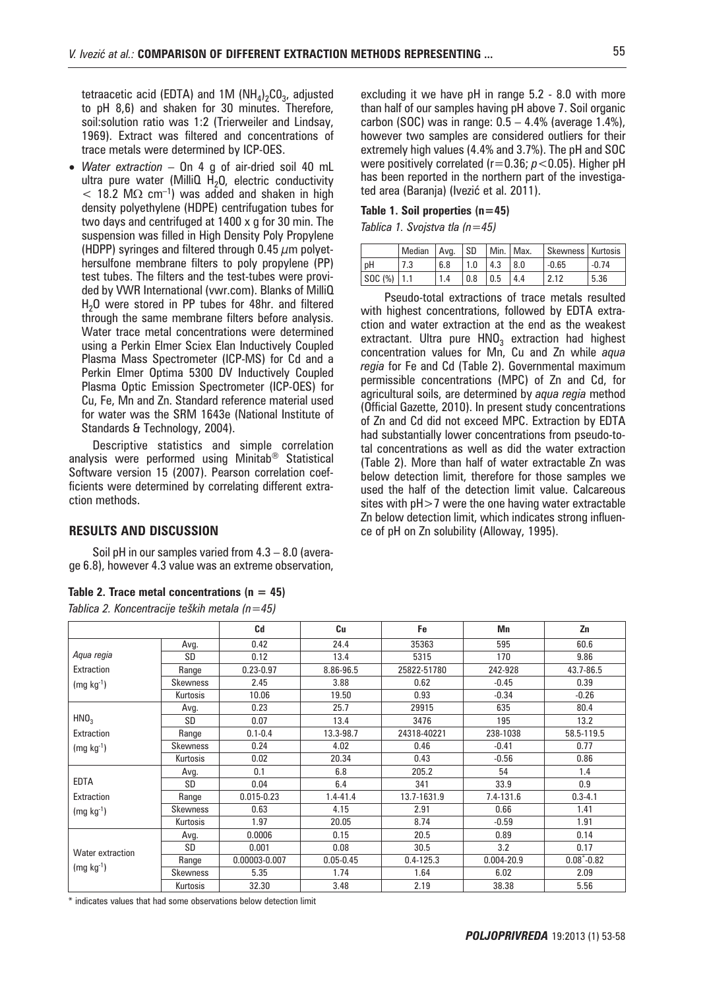tetraacetic acid (EDTA) and 1M  $(NH_4)_2CO_3$ , adjusted to pH 8,6) and shaken for 30 minutes. Therefore, soil:solution ratio was 1:2 (Trierweiler and Lindsay, 1969). Extract was filtered and concentrations of trace metals were determined by ICP-OES.

• *Water extraction* – On 4 g of air-dried soil 40 mL ultra pure water (MilliQ  $H<sub>2</sub>O$ , electric conductivity  $<$  18.2 M $\Omega$  cm<sup>-1</sup>) was added and shaken in high density polyethylene (HDPE) centrifugation tubes for two days and centrifuged at 1400 x g for 30 min. The suspension was filled in High Density Poly Propylene (HDPP) syringes and filtered through 0.45  $\mu$ m polyethersulfone membrane filters to poly propylene (PP) test tubes. The filters and the test-tubes were provided by VWR International (vwr.com). Blanks of MilliQ  $H<sub>2</sub>O$  were stored in PP tubes for 48hr. and filtered through the same membrane filters before analysis. Water trace metal concentrations were determined using a Perkin Elmer Sciex Elan Inductively Coupled Plasma Mass Spectrometer (ICP-MS) for Cd and a Perkin Elmer Optima 5300 DV Inductively Coupled Plasma Optic Emission Spectrometer (ICP-OES) for Cu, Fe, Mn and Zn. Standard reference material used for water was the SRM 1643e (National Institute of Standards & Technology, 2004).

Descriptive statistics and simple correlation analysis were performed using Minitab® Statistical Software version 15 (2007). Pearson correlation coefficients were determined by correlating different extraction methods.

# **RESULTS AND DISCUSSION**

Soil pH in our samples varied from 4.3 – 8.0 (average 6.8), however 4.3 value was an extreme observation,

#### **Table 2. Trace metal concentrations (n = 45)**

*Tablica 2. Koncentracije teških metala (n=45)*

excluding it we have pH in range 5.2 - 8.0 with more than half of our samples having pH above 7. Soil organic carbon (SOC) was in range:  $0.5 - 4.4\%$  (average 1.4%), however two samples are considered outliers for their extremely high values (4.4% and 3.7%). The pH and SOC were positively correlated (r=0.36; *p*<0.05). Higher pH has been reported in the northern part of the investigated area (Baranja) (Ivezić et al. 2011).

#### **Table 1. Soil properties (n=45)**

*Tablica 1. Svojstva tla (n=45)* 

|               | Median | l Ava. | l SD. | Min.   Max.       |     | Skewness   Kurtosis |         |
|---------------|--------|--------|-------|-------------------|-----|---------------------|---------|
| рH            |        | 6.8    | 1.0   | 4.3               | 8.0 | $-0.65$             | $-0.74$ |
| SOC (%)   1.1 |        | 1.4    | 0.8   | $\vert 0.5 \vert$ | 4.4 | 2.12                | 5.36    |

Pseudo-total extractions of trace metals resulted with highest concentrations, followed by EDTA extraction and water extraction at the end as the weakest extractant. Ultra pure  $HNO<sub>3</sub>$  extraction had highest concentration values for Mn, Cu and Zn while *aqua regia* for Fe and Cd (Table 2). Governmental maximum permissible concentrations (MPC) of Zn and Cd, for agricultural soils, are determined by *aqua regia* method (Official Gazette, 2010). In present study concentrations of Zn and Cd did not exceed MPC. Extraction by EDTA had substantially lower concentrations from pseudo-total concentrations as well as did the water extraction (Table 2). More than half of water extractable Zn was below detection limit, therefore for those samples we used the half of the detection limit value. Calcareous sites with  $pH>7$  were the one having water extractable Zn below detection limit, which indicates strong influence of pH on Zn solubility (Alloway, 1995).

|                  |                 | Cd             | Cu            | Fe            | Mn         | Zn              |
|------------------|-----------------|----------------|---------------|---------------|------------|-----------------|
| Aqua regia       | Avg.            | 0.42           | 24.4          | 35363         | 595        | 60.6            |
|                  | SD              | 0.12           | 13.4          | 5315          | 170        | 9.86            |
| Extraction       | Range           | $0.23 - 0.97$  | 8.86-96.5     | 25822-51780   | 242-928    | 43.7-86.5       |
| $(mg kg-1)$      | Skewness        | 2.45           | 3.88          | 0.62          | $-0.45$    | 0.39            |
|                  | Kurtosis        | 10.06          | 19.50         | 0.93          | $-0.34$    | $-0.26$         |
|                  | Avg.            | 0.23           | 25.7          | 29915         | 635        | 80.4            |
| HNO <sub>3</sub> | <b>SD</b>       | 0.07           | 13.4          | 3476          | 195        | 13.2            |
| Extraction       | Range           | $0.1 - 0.4$    | 13.3-98.7     | 24318-40221   | 238-1038   | 58.5-119.5      |
| $(mg kg-1)$      | <b>Skewness</b> | 0.24           | 4.02          | 0.46          | $-0.41$    | 0.77            |
|                  | Kurtosis        | 0.02           | 20.34         | 0.43          | $-0.56$    | 0.86            |
|                  | Avg.            | 0.1            | 6.8           | 205.2         | 54         | 1.4             |
| <b>EDTA</b>      | <b>SD</b>       | 0.04           | 6.4           | 341           | 33.9       | 0.9             |
| Extraction       | Range           | $0.015 - 0.23$ | $1.4 - 41.4$  | 13.7-1631.9   | 7.4-131.6  | $0.3 - 4.1$     |
| $(mg kg-1)$      | Skewness        | 0.63           | 4.15          | 2.91          | 0.66       | 1.41            |
|                  | Kurtosis        | 1.97           | 20.05         | 8.74          | $-0.59$    | 1.91            |
|                  | Avg.            | 0.0006         | 0.15          | 20.5          | 0.89       | 0.14            |
| Water extraction | SD              | 0.001          | 0.08          | 30.5          | 3.2        | 0.17            |
|                  | Range           | 0.00003-0.007  | $0.05 - 0.45$ | $0.4 - 125.3$ | 0.004-20.9 | $0.08^* - 0.82$ |
| $(mg kg-1)$      | <b>Skewness</b> | 5.35           | 1.74          | 1.64          | 6.02       | 2.09            |
|                  | Kurtosis        | 32.30          | 3.48          | 2.19          | 38.38      | 5.56            |

\* indicates values that had some observations below detection limit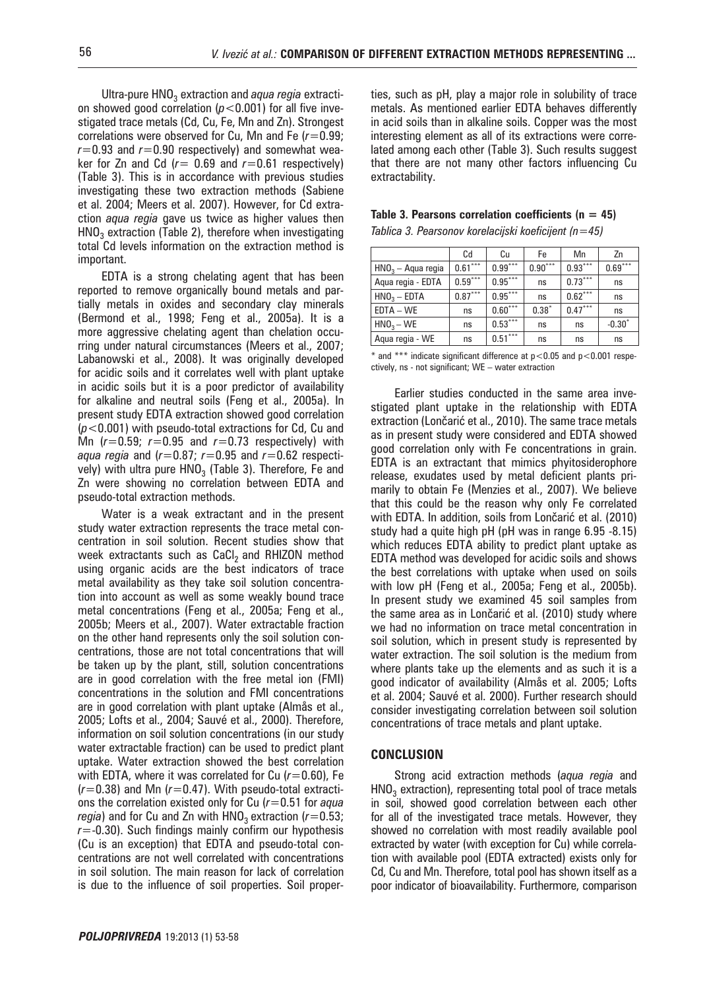Ultra-pure HNO<sub>3</sub> extraction and *aqua regia* extraction showed good correlation  $(p<0.001)$  for all five investigated trace metals (Cd, Cu, Fe, Mn and Zn). Strongest correlations were observed for Cu, Mn and Fe (*r*=0.99;  $r=0.93$  and  $r=0.90$  respectively) and somewhat weaker for Zn and Cd  $(r= 0.69$  and  $r=0.61$  respectively) (Table 3). This is in accordance with previous studies investigating these two extraction methods (Sabiene et al. 2004; Meers et al. 2007). However, for Cd extraction *aqua regia* gave us twice as higher values then  $HNO<sub>3</sub>$  extraction (Table 2), therefore when investigating total Cd levels information on the extraction method is important.

EDTA is a strong chelating agent that has been reported to remove organically bound metals and partially metals in oxides and secondary clay minerals (Bermond et al., 1998; Feng et al., 2005a). It is a more aggressive chelating agent than chelation occurring under natural circumstances (Meers et al., 2007; Labanowski et al., 2008). It was originally developed for acidic soils and it correlates well with plant uptake in acidic soils but it is a poor predictor of availability for alkaline and neutral soils (Feng et al., 2005a). In present study EDTA extraction showed good correlation (*p*<0.001) with pseudo-total extractions for Cd, Cu and Mn (*r*=0.59; *r*=0.95 and *r*=0.73 respectively) with *aqua regia* and (*r*=0.87; *r*=0.95 and *r*=0.62 respectively) with ultra pure  $HNO<sub>3</sub>$  (Table 3). Therefore, Fe and Zn were showing no correlation between EDTA and pseudo-total extraction methods.

Water is a weak extractant and in the present study water extraction represents the trace metal concentration in soil solution. Recent studies show that week extractants such as  $CaCl<sub>2</sub>$  and RHIZON method using organic acids are the best indicators of trace metal availability as they take soil solution concentration into account as well as some weakly bound trace metal concentrations (Feng et al., 2005a; Feng et al., 2005b; Meers et al., 2007). Water extractable fraction on the other hand represents only the soil solution concentrations, those are not total concentrations that will be taken up by the plant, still, solution concentrations are in good correlation with the free metal ion (FMI) concentrations in the solution and FMI concentrations are in good correlation with plant uptake (Almås et al., 2005; Lofts et al., 2004; Sauvé et al., 2000). Therefore, information on soil solution concentrations (in our study water extractable fraction) can be used to predict plant uptake. Water extraction showed the best correlation with EDTA, where it was correlated for Cu ( $r=0.60$ ), Fe (*r*=0.38) and Mn (*r*=0.47). With pseudo-total extractions the correlation existed only for Cu (*r*=0.51 for *aqua regia*) and for Cu and Zn with  $HNO<sub>3</sub>$  extraction ( $r=0.53$ ; *r*=-0.30). Such findings mainly confirm our hypothesis (Cu is an exception) that EDTA and pseudo-total concentrations are not well correlated with concentrations in soil solution. The main reason for lack of correlation is due to the influence of soil properties. Soil properties, such as pH, play a major role in solubility of trace metals. As mentioned earlier EDTA behaves differently in acid soils than in alkaline soils. Copper was the most interesting element as all of its extractions were correlated among each other (Table 3). Such results suggest that there are not many other factors influencing Cu extractability.

| Table 3. Pearsons correlation coefficients ( $n = 45$ ) |  |
|---------------------------------------------------------|--|
| Tablica 3. Pearsonov korelacijski koeficijent (n=45)    |  |

|                         | Cd        | Сu        | Fe        | Mn        | Zn        |
|-------------------------|-----------|-----------|-----------|-----------|-----------|
| $HNO3 - Aqua regia$     | $0.61***$ | $0.99***$ | $0.90***$ | $0.93***$ | $0.69***$ |
| Aqua regia - EDTA       | $0.59***$ | $0.95***$ | ns        | $0.73***$ | ns        |
| HNO <sub>3</sub> – EDTA | $0.87***$ | $0.95***$ | ns        | $0.62***$ | ns        |
| $EDTA - WE$             | ns        | $0.60***$ | $0.38*$   | $0.47***$ | ns        |
| $HNO3 - WE$             | ns        | $0.53***$ | ns        | ns        | $-0.30*$  |
| Aqua regia - WE         | ns        | $0.51***$ | ns        | ns        | ns        |

 $*$  and  $***$  indicate significant difference at  $p<0.05$  and  $p<0.001$  respectively, ns - not significant; WE – water extraction

Earlier studies conducted in the same area investigated plant uptake in the relationship with EDTA extraction (Lončarić et al., 2010). The same trace metals as in present study were considered and EDTA showed good correlation only with Fe concentrations in grain. EDTA is an extractant that mimics phyitosiderophore release, exudates used by metal deficient plants primarily to obtain Fe (Menzies et al., 2007). We believe that this could be the reason why only Fe correlated with EDTA. In addition, soils from Lončarić et al. (2010) study had a quite high pH (pH was in range 6.95 -8.15) which reduces EDTA ability to predict plant uptake as EDTA method was developed for acidic soils and shows the best correlations with uptake when used on soils with low pH (Feng et al., 2005a; Feng et al., 2005b). In present study we examined 45 soil samples from the same area as in Lončarić et al. (2010) study where we had no information on trace metal concentration in soil solution, which in present study is represented by water extraction. The soil solution is the medium from where plants take up the elements and as such it is a good indicator of availability (Almås et al. 2005; Lofts et al. 2004; Sauvé et al. 2000). Further research should consider investigating correlation between soil solution concentrations of trace metals and plant uptake.

### **CONCLUSION**

Strong acid extraction methods (*aqua regia* and  $HNO<sub>3</sub>$  extraction), representing total pool of trace metals in soil, showed good correlation between each other for all of the investigated trace metals. However, they showed no correlation with most readily available pool extracted by water (with exception for Cu) while correlation with available pool (EDTA extracted) exists only for Cd, Cu and Mn. Therefore, total pool has shown itself as a poor indicator of bioavailability. Furthermore, comparison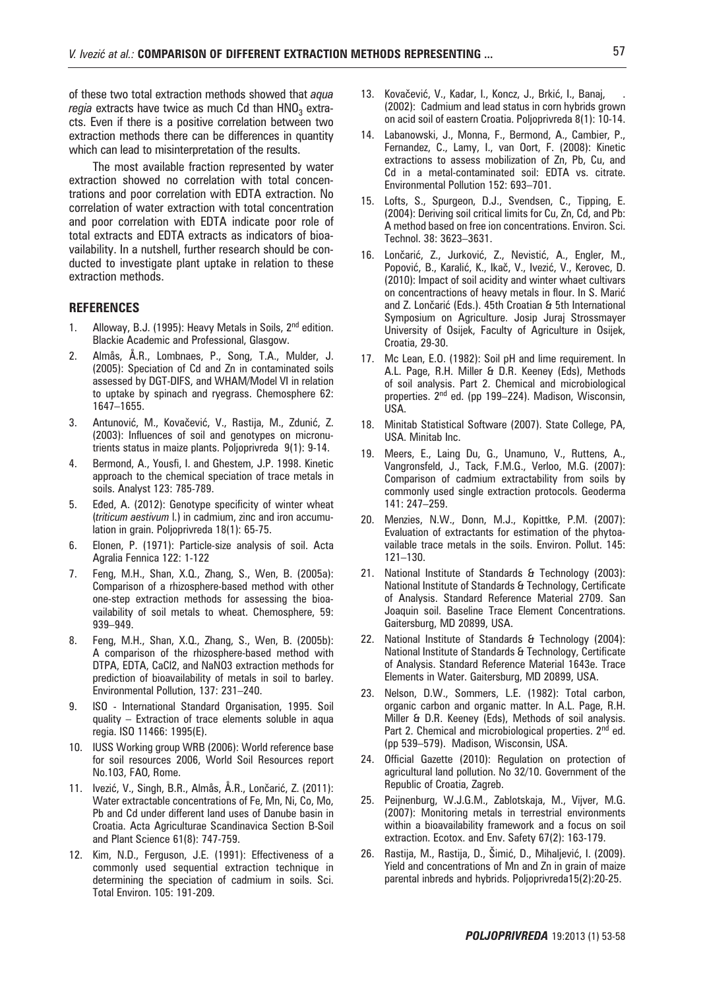of these two total extraction methods showed that *aqua regia* extracts have twice as much Cd than HNO<sub>3</sub> extracts. Even if there is a positive correlation between two extraction methods there can be differences in quantity which can lead to misinterpretation of the results.

The most available fraction represented by water extraction showed no correlation with total concentrations and poor correlation with EDTA extraction. No correlation of water extraction with total concentration and poor correlation with EDTA indicate poor role of total extracts and EDTA extracts as indicators of bioavailability. In a nutshell, further research should be conducted to investigate plant uptake in relation to these extraction methods.

## **REFERENCES**

- 1. Alloway, B.J. (1995): Heavy Metals in Soils, 2<sup>nd</sup> edition. Blackie Academic and Professional, Glasgow.
- 2. Almås, Å.R., Lombnaes, P., Song, T.A., Mulder, J. (2005): Speciation of Cd and Zn in contaminated soils assessed by DGT-DIFS, and WHAM/Model VI in relation to uptake by spinach and ryegrass. Chemosphere 62: 1647–1655.
- 3. Antunović, M., Kovačević, V., Rastija, M., Zdunić, Z. (2003): Influences of soil and genotypes on micronutrients status in maize plants. Poljoprivreda 9(1): 9-14.
- 4. Bermond, A., Yousfi, I. and Ghestem, J.P. 1998. Kinetic approach to the chemical speciation of trace metals in soils. Analyst 123: 785-789.
- 5. Eđed, A. (2012): Genotype specificity of winter wheat (*triticum aestivum* l.) in cadmium, zinc and iron accumulation in grain. Poljoprivreda 18(1): 65-75.
- 6. Elonen, P. (1971): Particle-size analysis of soil. Acta Agralia Fennica 122: 1-122
- 7. Feng, M.H., Shan, X.Q., Zhang, S., Wen, B. (2005a): Comparison of a rhizosphere-based method with other one-step extraction methods for assessing the bioavailability of soil metals to wheat. Chemosphere, 59: 939–949.
- 8. Feng, M.H., Shan, X.Q., Zhang, S., Wen, B. (2005b): A comparison of the rhizosphere-based method with DTPA, EDTA, CaCl2, and NaNO3 extraction methods for prediction of bioavailability of metals in soil to barley. Environmental Pollution, 137: 231–240.
- 9. ISO International Standard Organisation, 1995. Soil quality – Extraction of trace elements soluble in aqua regia. ISO 11466: 1995(E).
- 10. IUSS Working group WRB (2006): World reference base for soil resources 2006, World Soil Resources report No.103, FAO, Rome.
- 11. Ivezić, V., Singh, B.R., Almås, Å.R., Lončarić, Z. (2011): Water extractable concentrations of Fe, Mn, Ni, Co, Mo, Pb and Cd under different land uses of Danube basin in Croatia. Acta Agriculturae Scandinavica Section B-Soil and Plant Science 61(8): 747-759.
- 12. Kim, N.D., Ferguson, J.E. (1991): Effectiveness of a commonly used sequential extraction technique in determining the speciation of cadmium in soils. Sci. Total Environ. 105: 191-209.
- 13. Kovačević, V., Kadar, I., Koncz, J., Brkić, I., Banaj, (2002): Cadmium and lead status in corn hybrids grown on acid soil of eastern Croatia. Poljoprivreda 8(1): 10-14.
- 14. Labanowski, J., Monna, F., Bermond, A., Cambier, P., Fernandez, C., Lamy, I., van Oort, F. (2008): Kinetic extractions to assess mobilization of Zn, Pb, Cu, and Cd in a metal-contaminated soil: EDTA vs. citrate. Environmental Pollution 152: 693–701.
- Lofts, S., Spurgeon, D.J., Svendsen, C., Tipping, E. (2004): Deriving soil critical limits for Cu, Zn, Cd, and Pb: A method based on free ion concentrations. Environ. Sci. Technol. 38: 3623–3631.
- 16. Lončarić, Z., Jurković, Z., Nevistić, A., Engler, M., Popović, B., Karalić, K., Ikač, V., Ivezić, V., Kerovec, D. (2010): Impact of soil acidity and winter whaet cultivars on concentractions of heavy metals in flour. In S. Marić and Z. Lončarić (Eds.). 45th Croatian & 5th International Symposium on Agriculture. Josip Juraj Strossmayer University of Osijek, Faculty of Agriculture in Osijek, Croatia, 29-30.
- 17. Mc Lean, E.O. (1982): Soil pH and lime requirement. In A.L. Page, R.H. Miller & D.R. Keeney (Eds), Methods of soil analysis. Part 2. Chemical and microbiological properties. 2<sup>nd</sup> ed. (pp 199-224). Madison, Wisconsin, USA.
- 18. Minitab Statistical Software (2007). State College, PA, USA. Minitab Inc.
- 19. Meers, E., Laing Du, G., Unamuno, V., Ruttens, A., Vangronsfeld, J., Tack, F.M.G., Verloo, M.G. (2007): Comparison of cadmium extractability from soils by commonly used single extraction protocols. Geoderma 141: 247–259.
- 20. Menzies, N.W., Donn, M.J., Kopittke, P.M. (2007): Evaluation of extractants for estimation of the phytoavailable trace metals in the soils. Environ. Pollut. 145: 121–130.
- 21. National Institute of Standards & Technology (2003): National Institute of Standards & Technology, Certificate of Analysis. Standard Reference Material 2709. San Joaquin soil. Baseline Trace Element Concentrations. Gaitersburg, MD 20899, USA.
- 22. National Institute of Standards & Technology (2004): National Institute of Standards & Technology, Certificate of Analysis. Standard Reference Material 1643e. Trace Elements in Water. Gaitersburg, MD 20899, USA.
- 23. Nelson, D.W., Sommers, L.E. (1982): Total carbon, organic carbon and organic matter. In A.L. Page, R.H. Miller & D.R. Keeney (Eds), Methods of soil analysis. Part 2. Chemical and microbiological properties. 2<sup>nd</sup> ed. (pp 539–579). Madison, Wisconsin, USA.
- 24. Official Gazette (2010): Regulation on protection of agricultural land pollution. No 32/10. Government of the Republic of Croatia, Zagreb.
- 25. Peijnenburg, W.J.G.M., Zablotskaja, M., Vijver, M.G. (2007): Monitoring metals in terrestrial environments within a bioavailability framework and a focus on soil extraction. Ecotox. and Env. Safety 67(2): 163-179.
- 26. Rastija, M., Rastija, D., Šimić, D., Mihaljević, I. (2009). Yield and concentrations of Mn and Zn in grain of maize parental inbreds and hybrids. Poljoprivreda15(2):20-25.